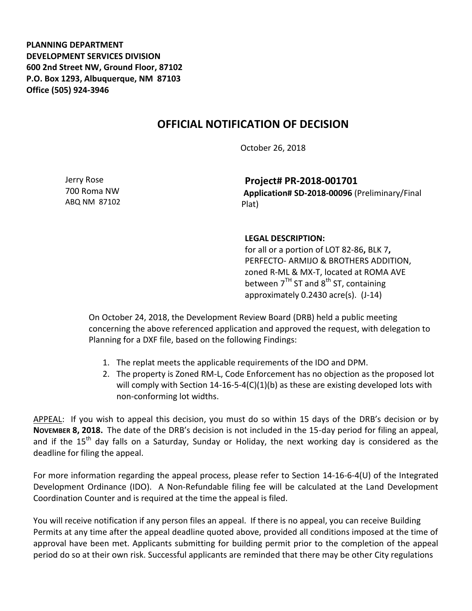**PLANNING DEPARTMENT DEVELOPMENT SERVICES DIVISION 600 2nd Street NW, Ground Floor, 87102 P.O. Box 1293, Albuquerque, NM 87103 Office (505) 924-3946** 

## **OFFICIAL NOTIFICATION OF DECISION**

October 26, 2018

Jerry Rose 700 Roma NW ABQ NM 87102

**Project# PR-2018-001701 Application# SD-2018-00096** (Preliminary/Final Plat)

## **LEGAL DESCRIPTION:**

for all or a portion of LOT 82-86**,** BLK 7**,** PERFECTO- ARMIJO & BROTHERS ADDITION, zoned R-ML & MX-T, located at ROMA AVE between  $7^{TH}$  ST and  $8^{th}$  ST, containing approximately 0.2430 acre(s). (J-14)

On October 24, 2018, the Development Review Board (DRB) held a public meeting concerning the above referenced application and approved the request, with delegation to Planning for a DXF file, based on the following Findings:

- 1. The replat meets the applicable requirements of the IDO and DPM.
- 2. The property is Zoned RM-L, Code Enforcement has no objection as the proposed lot will comply with Section  $14-16-5-4(C)(1)(b)$  as these are existing developed lots with non-conforming lot widths.

APPEAL: If you wish to appeal this decision, you must do so within 15 days of the DRB's decision or by **NOVEMBER 8, 2018.** The date of the DRB's decision is not included in the 15-day period for filing an appeal, and if the  $15<sup>th</sup>$  day falls on a Saturday, Sunday or Holiday, the next working day is considered as the deadline for filing the appeal.

For more information regarding the appeal process, please refer to Section 14-16-6-4(U) of the Integrated Development Ordinance (IDO). A Non-Refundable filing fee will be calculated at the Land Development Coordination Counter and is required at the time the appeal is filed.

You will receive notification if any person files an appeal. If there is no appeal, you can receive Building Permits at any time after the appeal deadline quoted above, provided all conditions imposed at the time of approval have been met. Applicants submitting for building permit prior to the completion of the appeal period do so at their own risk. Successful applicants are reminded that there may be other City regulations